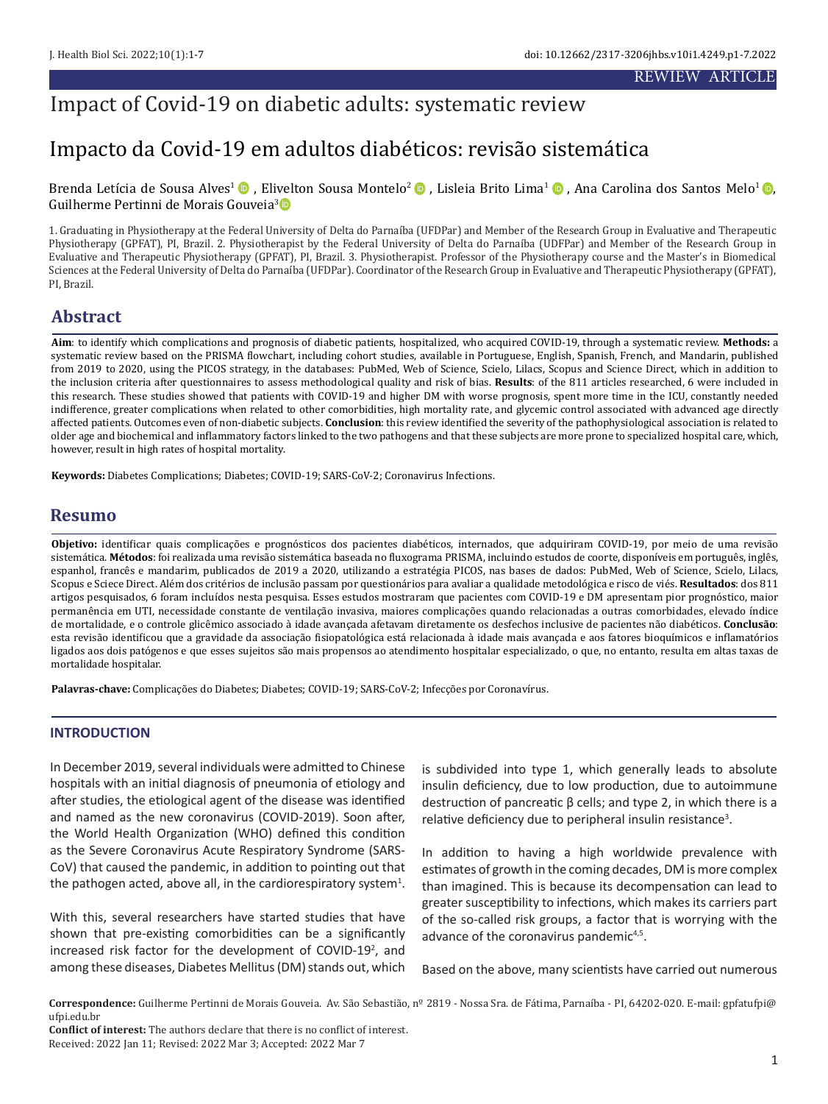# Impacto da Covid-19 em adultos diabéticos: revisão sistemática

Brenda Letícia de Sousa Alves<sup>1</sup> (D), E[livel](http://orcid.org/0000-0001-6470-2341)tonSousa Montelo<sup>2</sup> (D), Lisleia Brito Lima<sup>1</sup> (D), Ana Carolina dos Santos Melo<sup>1</sup> (D), Guilherme Pertinni de Morais Gouveia3

1. Graduating in Physiotherapy at the Federal University of Delta do Parnaíba (UFDPar) and Member of the Research Group in Evaluative and Therapeutic Physiotherapy (GPFAT), PI, Brazil. 2. Physiotherapist by the Federal University of Delta do Parnaíba (UDFPar) and Member of the Research Group in Evaluative and Therapeutic Physiotherapy (GPFAT), PI, Brazil. 3. Physiotherapist. Professor of the Physiotherapy course and the Master's in Biomedical Sciences at the Federal University of Delta do Parnaíba (UFDPar). Coordinator of the Research Group in Evaluative and Therapeutic Physiotherapy (GPFAT), PI, Brazil.

# **Abstract**

**Aim**: to identify which complications and prognosis of diabetic patients, hospitalized, who acquired COVID-19, through a systematic review. **Methods:** a systematic review based on the PRISMA flowchart, including cohort studies, available in Portuguese, English, Spanish, French, and Mandarin, published from 2019 to 2020, using the PICOS strategy, in the databases: PubMed, Web of Science, Scielo, Lilacs, Scopus and Science Direct, which in addition to the inclusion criteria after questionnaires to assess methodological quality and risk of bias. **Results**: of the 811 articles researched, 6 were included in this research. These studies showed that patients with COVID-19 and higher DM with worse prognosis, spent more time in the ICU, constantly needed indifference, greater complications when related to other comorbidities, high mortality rate, and glycemic control associated with advanced age directly affected patients. Outcomes even of non-diabetic subjects. **Conclusion**: this review identified the severity of the pathophysiological association is related to older age and biochemical and inflammatory factors linked to the two pathogens and that these subjects are more prone to specialized hospital care, which, however, result in high rates of hospital mortality.

**Keywords:** Diabetes Complications; Diabetes; COVID-19; SARS-CoV-2; Coronavirus Infections.

# **Resumo**

**Objetivo:** identificar quais complicações e prognósticos dos pacientes diabéticos, internados, que adquiriram COVID-19, por meio de uma revisão sistemática. **Métodos**: foi realizada uma revisão sistemática baseada no fluxograma PRISMA, incluindo estudos de coorte, disponíveis em português, inglês, espanhol, francês e mandarim, publicados de 2019 a 2020, utilizando a estratégia PICOS, nas bases de dados: PubMed, Web of Science, Scielo, Lilacs, Scopus e Sciece Direct. Além dos critérios de inclusão passam por questionários para avaliar a qualidade metodológica e risco de viés. **Resultados**: dos 811 artigos pesquisados, 6 foram incluídos nesta pesquisa. Esses estudos mostraram que pacientes com COVID-19 e DM apresentam pior prognóstico, maior permanência em UTI, necessidade constante de ventilação invasiva, maiores complicações quando relacionadas a outras comorbidades, elevado índice de mortalidade, e o controle glicêmico associado à idade avançada afetavam diretamente os desfechos inclusive de pacientes não diabéticos. **Conclusão**: esta revisão identificou que a gravidade da associação fisiopatológica está relacionada à idade mais avançada e aos fatores bioquímicos e inflamatórios ligados aos dois patógenos e que esses sujeitos são mais propensos ao atendimento hospitalar especializado, o que, no entanto, resulta em altas taxas de mortalidade hospitalar.

**Palavras-chave:** Complicações do Diabetes; Diabetes; COVID-19; SARS-CoV-2; Infecções por Coronavírus.

# **INTRODUCTION**

In December 2019, several individuals were admitted to Chinese hospitals with an initial diagnosis of pneumonia of etiology and after studies, the etiological agent of the disease was identified and named as the new coronavirus (COVID-2019). Soon after, the World Health Organization (WHO) defined this condition as the Severe Coronavirus Acute Respiratory Syndrome (SARS-CoV) that caused the pandemic, in addition to pointing out that the pathogen acted, above all, in the cardiorespiratory system<sup>1</sup>.

With this, several researchers have started studies that have shown that pre-existing comorbidities can be a significantly increased risk factor for the development of COVID-19<sup>2</sup>, and among these diseases, Diabetes Mellitus (DM) stands out, which

is subdivided into type 1, which generally leads to absolute insulin deficiency, due to low production, due to autoimmune destruction of pancreatic β cells; and type 2, in which there is a relative deficiency due to peripheral insulin resistance<sup>3</sup>.

In addition to having a high worldwide prevalence with estimates of growth in the coming decades, DM is more complex than imagined. This is because its decompensation can lead to greater susceptibility to infections, which makes its carriers part of the so-called risk groups, a factor that is worrying with the advance of the coronavirus pandemic<sup>4,5</sup>.

Based on the above, many scientists have carried out numerous

**Correspondence:** Guilherme Pertinni de Morais Gouveia. Av. São Sebastião, nº 2819 - Nossa Sra. de Fátima, Parnaíba - PI, 64202-020. E-mail: gpfatufpi@ ufpi.edu.br

**Conflict of interest:** The authors declare that there is no conflict of interest. Received: 2022 Jan 11; Revised: 2022 Mar 3; Accepted: 2022 Mar 7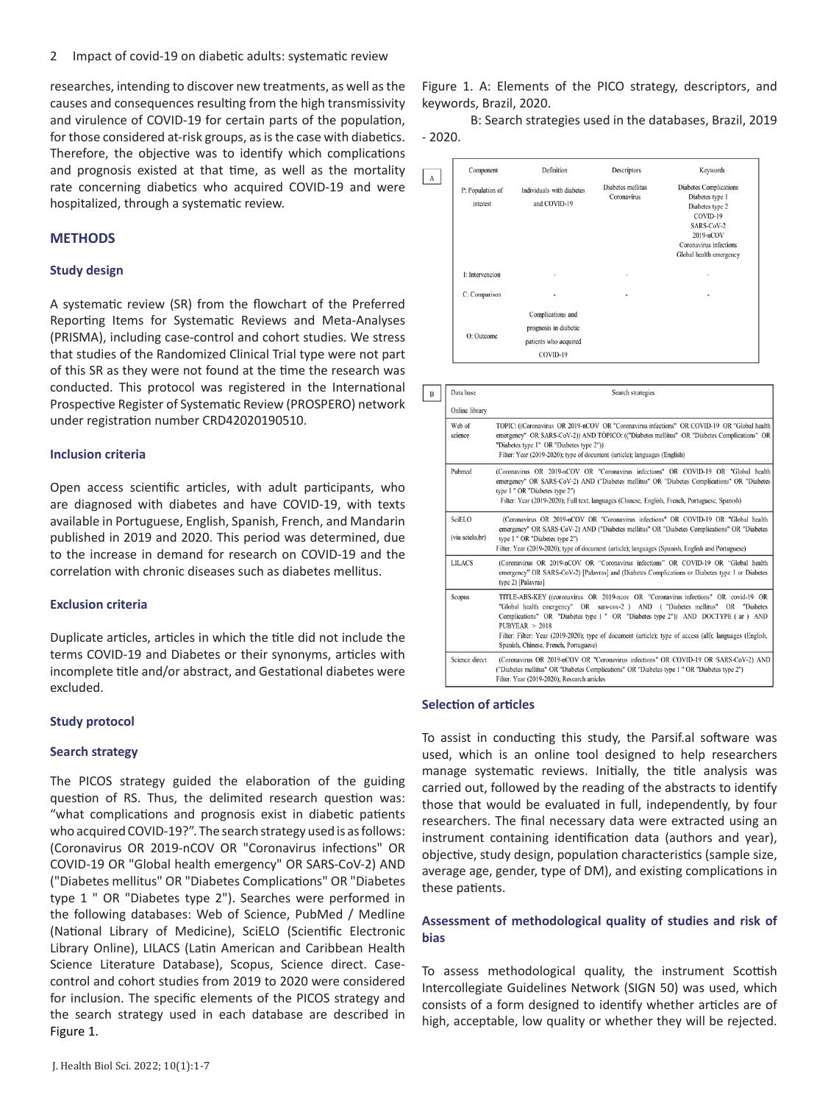researches, intending to discover new treatments, as well as the causes and consequences resulting from the high transmissivity and virulence of COVID-19 for certain parts of the population, for those considered at-risk groups, as is the case with diabetics. Therefore, the objective was to identify which complications and prognosis existed at that time, as well as the mortality rate concerning diabetics who acquired COVID-19 and were hospitalized, through a systematic review.

# **METHODS**

### **Study design**

A systematic review (SR) from the flowchart of the Preferred Reporting Items for Systematic Reviews and Meta-Analyses (PRISMA), including case-control and cohort studies. We stress that studies of the Randomized Clinical Trial type were not part of this SR as they were not found at the time the research was conducted. This protocol was registered in the International Prospective Register of Systematic Review (PROSPERO) network under registration number CRD42020190510.

#### **Inclusion criteria**

Open access scientific articles, with adult participants, who are diagnosed with diabetes and have COVID-19, with texts available in Portuguese, English, Spanish, French, and Mandarin published in 2019 and 2020. This period was determined, due to the increase in demand for research on COVID-19 and the correlation with chronic diseases such as diabetes mellitus.

#### **Exclusion criteria**

Duplicate articles, articles in which the title did not include the terms COVID-19 and Diabetes or their synonyms, articles with incomplete title and/or abstract, and Gestational diabetes were excluded.

# **Study protocol**

# **Search strategy**

The PICOS strategy guided the elaboration of the guiding question of RS. Thus, the delimited research question was: "what complications and prognosis exist in diabetic patients who acquired COVID-19?". The search strategy used is as follows: (Coronavirus OR 2019-nCOV OR "Coronavirus infections" OR COVID-19 OR "Global health emergency" OR SARS-CoV-2) AND ("Diabetes mellitus" OR "Diabetes Complications" OR "Diabetes type 1 " OR "Diabetes type 2"). Searches were performed in the following databases: Web of Science, PubMed / Medline (National Library of Medicine), SciELO (Scientific Electronic Library Online), LILACS (Latin American and Caribbean Health Science Literature Database), Scopus, Science direct. Casecontrol and cohort studies from 2019 to 2020 were considered for inclusion. The specific elements of the PICOS strategy and the search strategy used in each database are described in Figure 1.

Figure 1. A: Elements of the PICO strategy, descriptors, and keywords, Brazil, 2020.

 B: Search strategies used in the databases, Brazil, 2019 - 2020.

| $\mathbf{A}$ | Component<br>P: Population of<br>interest | Definition<br>Individuals with diabetes<br>and COVID-19                         | Descriptors<br>Diabetes mellitus<br>Coronavírus | Keywords<br><b>Diabetes Complications</b><br>Diabetes type 1<br>Diabetes type 2          |
|--------------|-------------------------------------------|---------------------------------------------------------------------------------|-------------------------------------------------|------------------------------------------------------------------------------------------|
|              |                                           |                                                                                 |                                                 | COVID-19<br>SARS-CoV-2<br>2019-nCOV<br>Coronavirus infections<br>Global health emergency |
|              | I: Intervencion                           | $\blacksquare$                                                                  | $\overline{a}$                                  | $\overline{a}$                                                                           |
|              | C: Comparison                             | $\qquad \qquad \blacksquare$                                                    | ٠                                               | ٠                                                                                        |
|              | O: Outcome                                | Complications and<br>prognosis in diabetic<br>patients who acquired<br>COVID-19 |                                                 |                                                                                          |

| B | Data base                 | Search strategies                                                                                                                                                                                                                                                                                                                                                                                                                 |
|---|---------------------------|-----------------------------------------------------------------------------------------------------------------------------------------------------------------------------------------------------------------------------------------------------------------------------------------------------------------------------------------------------------------------------------------------------------------------------------|
|   | Online library            |                                                                                                                                                                                                                                                                                                                                                                                                                                   |
|   | Web of<br>science         | TOPIC: ((Coronavirus OR 2019-nCOV OR "Coronavirus infections" OR COVID-19 OR "Global health<br>emergency" OR SARS-CoV-2)) AND TÓPICO: (("Diabetes mellitus" OR "Diabetes Complications" OR<br>"Diabetes type 1" OR "Diabetes type 2"))<br>Filter: Year (2019-2020); type of document (article); languages (English)                                                                                                               |
|   | Pubmed                    | (Coronavirus OR 2019-nCOV OR "Coronavirus infections" OR COVID-19 OR "Global health<br>emergency" OR SARS-CoV-2) AND ("Diabetes mellitus" OR "Diabetes Complications" OR "Diabetes<br>type 1 " OR "Diabetes type 2")<br>Filter: Year (2019-2020); Full text; languages (Chinese, English, French, Portuguese, Spanish)                                                                                                            |
|   | SciELO<br>(via scielo.br) | (Coronavirus OR 2019-nCOV OR "Coronavirus infections" OR COVID-19 OR "Global health<br>emergency" OR SARS-CoV-2) AND ("Diabetes mellitus" OR "Diabetes Complications" OR "Diabetes<br>type 1 " OR "Diabetes type 2")<br>Filter: Year (2019-2020); type of document (article); languages (Spanish, English and Portuguese)                                                                                                         |
|   | <b>LILACS</b>             | (Coronavirus OR 2019-nCOV OR "Coronavirus infections" OR COVID-19 OR "Global health<br>emergency" OR SARS-CoV-2) [Palavras] and (Diabetes Complications or Diabetes type 1 or Diabetes<br>type 2) [Palavras]                                                                                                                                                                                                                      |
|   | Scopus                    | TITLE-ABS-KEY ((coronavirus OR 2019-ncov OR "Coronavirus infections" OR covid-19 OR<br>"Global health emergency" OR sars-cov-2 ) AND ("Diabetes mellitus" OR "Diabetes<br>Complications" OR "Diabetes type 1 " OR "Diabetes type 2")) AND DOCTYPE (ar ) AND<br>PUBYEAR > 2018<br>Filter: Filter: Year (2019-2020); type of document (article); type of access (all); languages (English,<br>Spanish, Chinese, French, Portuguese) |
|   | Science direct            | (Coronavirus OR 2019-nCOV OR "Coronavirus infections" OR COVID-19 OR SARS-CoV-2) AND<br>("Diabetes mellitus" OR "Diabetes Complications" OR "Diabetes type 1 " OR "Diabetes type 2")<br>Filter: Year (2019-2020); Research articles                                                                                                                                                                                               |

# **Selection of articles**

To assist in conducting this study, the Parsif.al software was used, which is an online tool designed to help researchers manage systematic reviews. Initially, the title analysis was carried out, followed by the reading of the abstracts to identify those that would be evaluated in full, independently, by four researchers. The final necessary data were extracted using an instrument containing identification data (authors and year), objective, study design, population characteristics (sample size, average age, gender, type of DM), and existing complications in these patients.

# **Assessment of methodological quality of studies and risk of bias**

To assess methodological quality, the instrument Scottish Intercollegiate Guidelines Network (SIGN 50) was used, which consists of a form designed to identify whether articles are of high, acceptable, low quality or whether they will be rejected.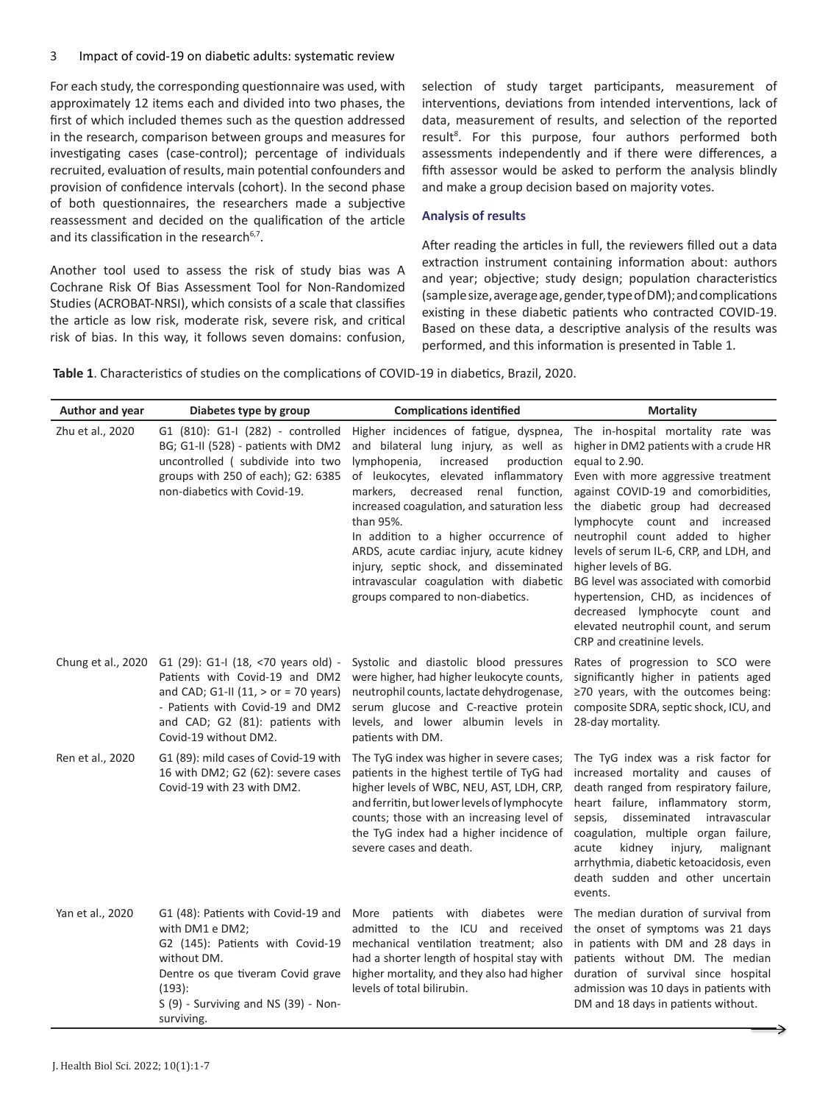For each study, the corresponding questionnaire was used, with approximately 12 items each and divided into two phases, the first of which included themes such as the question addressed in the research, comparison between groups and measures for investigating cases (case-control); percentage of individuals recruited, evaluation of results, main potential confounders and provision of confidence intervals (cohort). In the second phase of both questionnaires, the researchers made a subjective reassessment and decided on the qualification of the article and its classification in the research<sup>6,7</sup>.

Another tool used to assess the risk of study bias was A Cochrane Risk Of Bias Assessment Tool for Non-Randomized Studies (ACROBAT-NRSI), which consists of a scale that classifies the article as low risk, moderate risk, severe risk, and critical risk of bias. In this way, it follows seven domains: confusion,

selection of study target participants, measurement of interventions, deviations from intended interventions, lack of data, measurement of results, and selection of the reported result<sup>8</sup>. For this purpose, four authors performed both assessments independently and if there were differences, a fifth assessor would be asked to perform the analysis blindly and make a group decision based on majority votes.

## **Analysis of results**

After reading the articles in full, the reviewers filled out a data extraction instrument containing information about: authors and year; objective; study design; population characteristics (sample size, average age, gender, type of DM); and complications existing in these diabetic patients who contracted COVID-19. Based on these data, a descriptive analysis of the results was performed, and this information is presented in Table 1.

**Table 1**. Characteristics of studies on the complications of COVID-19 in diabetics, Brazil, 2020.

| Author and year  | Diabetes type by group                                                                                                                                                                                                             | <b>Complications identified</b>                                                                                                                                                                                                                                                                                                                                                                                                                                                    | <b>Mortality</b>                                                                                                                                                                                                                                                                                                                                                                                                                                                                                                                                  |
|------------------|------------------------------------------------------------------------------------------------------------------------------------------------------------------------------------------------------------------------------------|------------------------------------------------------------------------------------------------------------------------------------------------------------------------------------------------------------------------------------------------------------------------------------------------------------------------------------------------------------------------------------------------------------------------------------------------------------------------------------|---------------------------------------------------------------------------------------------------------------------------------------------------------------------------------------------------------------------------------------------------------------------------------------------------------------------------------------------------------------------------------------------------------------------------------------------------------------------------------------------------------------------------------------------------|
| Zhu et al., 2020 | G1 (810): G1-I (282) - controlled<br>BG; G1-II (528) - patients with DM2<br>uncontrolled (subdivide into two<br>groups with 250 of each); G2: 6385<br>non-diabetics with Covid-19.                                                 | Higher incidences of fatigue, dyspnea,<br>and bilateral lung injury, as well as<br>lymphopenia,<br>increased<br>production<br>of leukocytes, elevated inflammatory<br>markers, decreased renal function,<br>increased coagulation, and saturation less<br>than 95%.<br>In addition to a higher occurrence of<br>ARDS, acute cardiac injury, acute kidney<br>injury, septic shock, and disseminated<br>intravascular coagulation with diabetic<br>groups compared to non-diabetics. | The in-hospital mortality rate was<br>higher in DM2 patients with a crude HR<br>equal to 2.90.<br>Even with more aggressive treatment<br>against COVID-19 and comorbidities,<br>the diabetic group had decreased<br>lymphocyte count and increased<br>neutrophil count added to higher<br>levels of serum IL-6, CRP, and LDH, and<br>higher levels of BG.<br>BG level was associated with comorbid<br>hypertension, CHD, as incidences of<br>decreased lymphocyte count and<br>elevated neutrophil count, and serum<br>CRP and creatinine levels. |
|                  | Chung et al., 2020 G1 (29): G1-I (18, <70 years old) -<br>Patients with Covid-19 and DM2<br>and CAD; G1-II (11, $>$ or = 70 years)<br>- Patients with Covid-19 and DM2<br>and CAD; G2 (81): patients with<br>Covid-19 without DM2. | Systolic and diastolic blood pressures<br>were higher, had higher leukocyte counts,<br>neutrophil counts, lactate dehydrogenase,<br>serum glucose and C-reactive protein<br>levels, and lower albumin levels in<br>patients with DM.                                                                                                                                                                                                                                               | Rates of progression to SCO were<br>significantly higher in patients aged<br>$\geq$ 70 years, with the outcomes being:<br>composite SDRA, septic shock, ICU, and<br>28-day mortality.                                                                                                                                                                                                                                                                                                                                                             |
| Ren et al., 2020 | G1 (89): mild cases of Covid-19 with<br>16 with DM2; G2 (62): severe cases<br>Covid-19 with 23 with DM2.                                                                                                                           | The TyG index was higher in severe cases;<br>patients in the highest tertile of TyG had<br>higher levels of WBC, NEU, AST, LDH, CRP,<br>and ferritin, but lower levels of lymphocyte<br>counts; those with an increasing level of<br>the TyG index had a higher incidence of<br>severe cases and death.                                                                                                                                                                            | The TyG index was a risk factor for<br>increased mortality and causes of<br>death ranged from respiratory failure,<br>heart failure, inflammatory storm,<br>disseminated intravascular<br>sepsis,<br>coagulation, multiple organ failure,<br>kidney<br>injury,<br>malignant<br>acute<br>arrhythmia, diabetic ketoacidosis, even<br>death sudden and other uncertain<br>events.                                                                                                                                                                    |
| Yan et al., 2020 | with DM1 e DM2;<br>G2 (145): Patients with Covid-19<br>without DM.<br>Dentre os que tiveram Covid grave<br>(193):<br>$S(9)$ - Surviving and NS (39) - Non-<br>surviving.                                                           | G1 (48): Patients with Covid-19 and More patients with diabetes were<br>admitted to the ICU and received<br>mechanical ventilation treatment; also<br>had a shorter length of hospital stay with<br>higher mortality, and they also had higher<br>levels of total bilirubin.                                                                                                                                                                                                       | The median duration of survival from<br>the onset of symptoms was 21 days<br>in patients with DM and 28 days in<br>patients without DM. The median<br>duration of survival since hospital<br>admission was 10 days in patients with<br>DM and 18 days in patients without.                                                                                                                                                                                                                                                                        |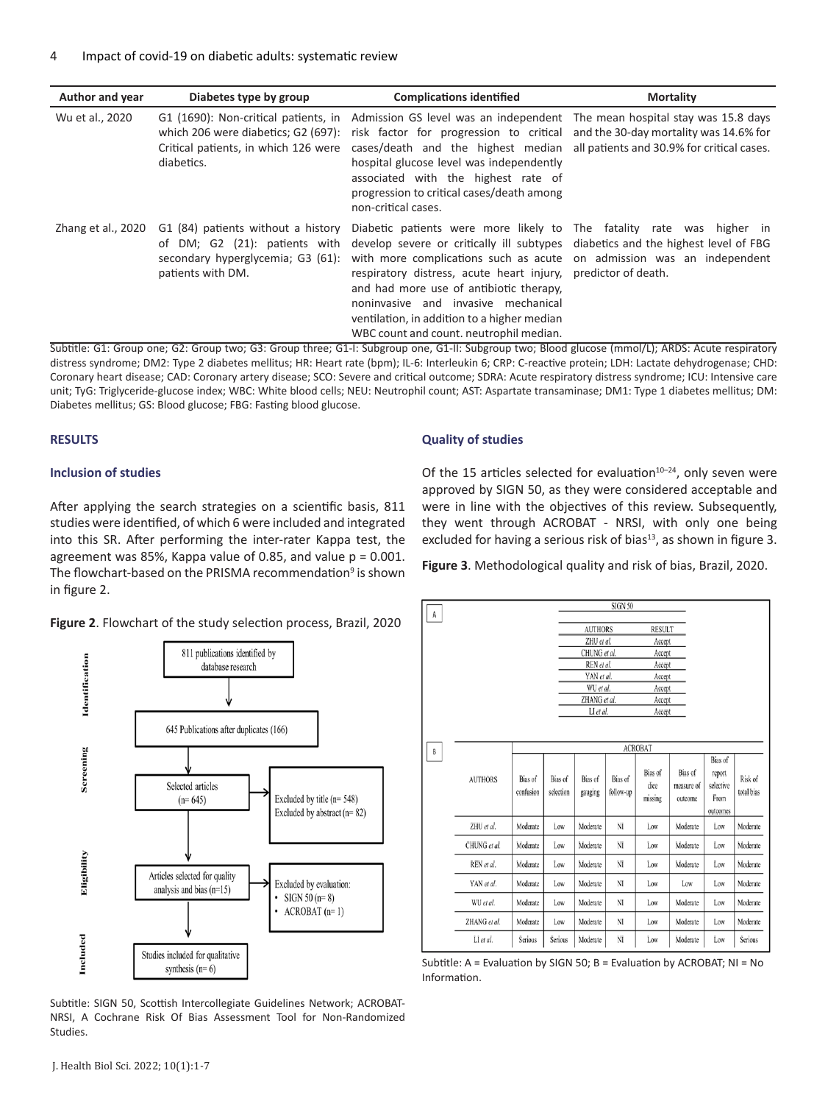| <b>Author and year</b> | Diabetes type by group                                                                                                            | <b>Complications identified</b>                                                                                                                                                                                                                                                                                                                                                                                                                                                 | <b>Mortality</b> |
|------------------------|-----------------------------------------------------------------------------------------------------------------------------------|---------------------------------------------------------------------------------------------------------------------------------------------------------------------------------------------------------------------------------------------------------------------------------------------------------------------------------------------------------------------------------------------------------------------------------------------------------------------------------|------------------|
| Wu et al., 2020        | G1 (1690): Non-critical patients, in<br>which 206 were diabetics; G2 (697):<br>Critical patients, in which 126 were<br>diabetics. | Admission GS level was an independent The mean hospital stay was 15.8 days<br>risk factor for progression to critical and the 30-day mortality was 14.6% for<br>cases/death and the highest median all patients and 30.9% for critical cases.<br>hospital glucose level was independently<br>associated with the highest rate of<br>progression to critical cases/death among<br>non-critical cases.                                                                            |                  |
| Zhang et al., 2020     | G1 (84) patients without a history<br>of DM; G2 (21): patients with<br>secondary hyperglycemia; G3 (61):<br>patients with DM.     | Diabetic patients were more likely to The fatality rate was higher in<br>develop severe or critically ill subtypes diabetics and the highest level of FBG<br>with more complications such as acute on admission was an independent<br>respiratory distress, acute heart injury, predictor of death.<br>and had more use of antibiotic therapy.<br>noninvasive and invasive mechanical<br>ventilation, in addition to a higher median<br>WBC count and count. neutrophil median. |                  |

Subtitle: G1: Group one; G2: Group two; G3: Group three; G1-I: Subgroup one, G1-II: Subgroup two; Blood glucose (mmol/L); ARDS: Acute respiratory distress syndrome; DM2: Type 2 diabetes mellitus; HR: Heart rate (bpm); IL-6: Interleukin 6; CRP: C-reactive protein; LDH: Lactate dehydrogenase; CHD: Coronary heart disease; CAD: Coronary artery disease; SCO: Severe and critical outcome; SDRA: Acute respiratory distress syndrome; ICU: Intensive care unit; TyG: Triglyceride-glucose index; WBC: White blood cells; NEU: Neutrophil count; AST: Aspartate transaminase; DM1: Type 1 diabetes mellitus; DM: Diabetes mellitus; GS: Blood glucose; FBG: Fasting blood glucose.

#### **RESULTS**

#### **Inclusion of studies**

After applying the search strategies on a scientific basis, 811 studies were identified, of which 6 were included and integrated into this SR. After performing the inter-rater Kappa test, the agreement was 85%, Kappa value of 0.85, and value  $p = 0.001$ . The flowchart-based on the PRISMA recommendation<sup>9</sup> is shown in figure 2.

#### **Figure 2**. Flowchart of the study selection process, Brazil, 2020



Subtitle: SIGN 50, Scottish Intercollegiate Guidelines Network; ACROBAT-NRSI, A Cochrane Risk Of Bias Assessment Tool for Non-Randomized Studies.

#### **Quality of studies**

Of the 15 articles selected for evaluation $10-24$ , only seven were approved by SIGN 50, as they were considered acceptable and were in line with the objectives of this review. Subsequently, they went through ACROBAT - NRSI, with only one being excluded for having a serious risk of bias $13$ , as shown in figure 3.

**Figure 3**. Methodological quality and risk of bias, Brazil, 2020.



Subtitle: A = Evaluation by SIGN 50; B = Evaluation by ACROBAT; NI = No Information.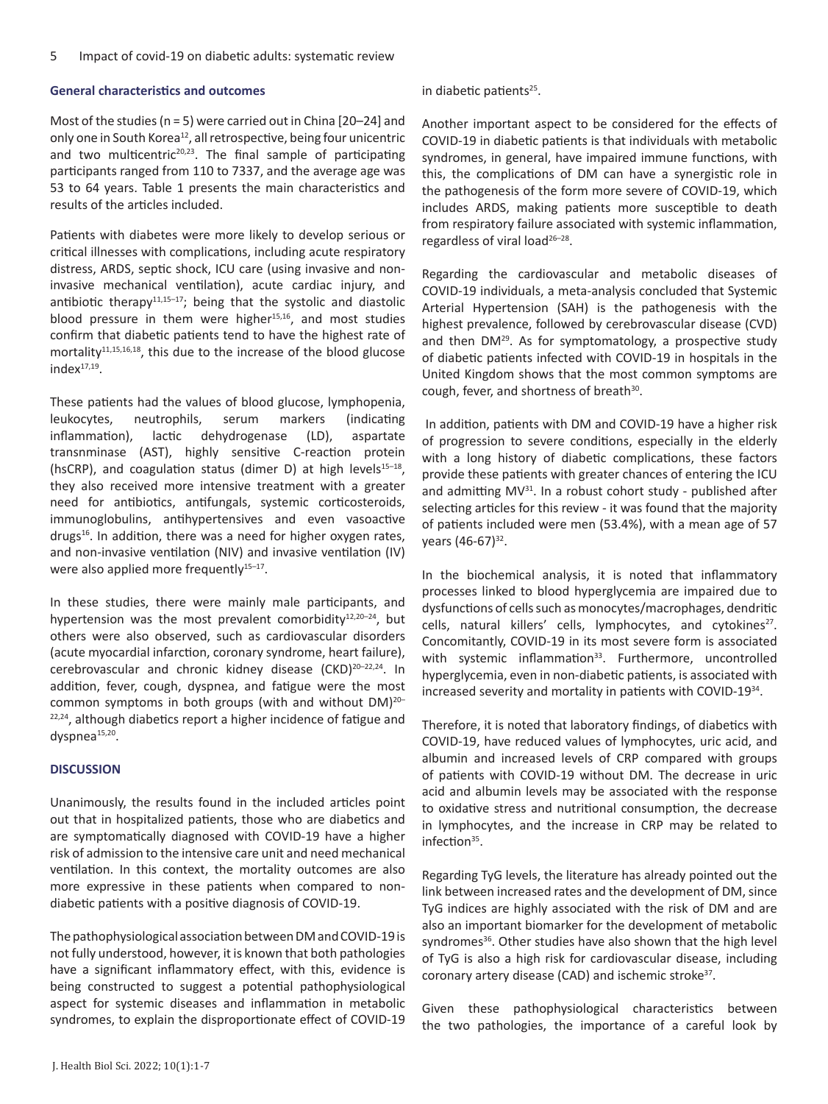# **General characteristics and outcomes**

Most of the studies (n = 5) were carried out in China [20–24] and only one in South Korea<sup>12</sup>, all retrospective, being four unicentric and two multicentric<sup>20,23</sup>. The final sample of participating participants ranged from 110 to 7337, and the average age was 53 to 64 years. Table 1 presents the main characteristics and results of the articles included.

Patients with diabetes were more likely to develop serious or critical illnesses with complications, including acute respiratory distress, ARDS, septic shock, ICU care (using invasive and noninvasive mechanical ventilation), acute cardiac injury, and antibiotic therapy<sup>11,15-17</sup>; being that the systolic and diastolic blood pressure in them were higher $15,16$ , and most studies confirm that diabetic patients tend to have the highest rate of mortality<sup>11,15,16,18</sup>, this due to the increase of the blood glucose  $index<sup>17,19</sup>$ .

These patients had the values of blood glucose, lymphopenia, leukocytes, neutrophils, serum markers (indicating inflammation), lactic dehydrogenase (LD), aspartate transnminase (AST), highly sensitive C-reaction protein (hsCRP), and coagulation status (dimer D) at high levels $15-18$ , they also received more intensive treatment with a greater need for antibiotics, antifungals, systemic corticosteroids, immunoglobulins, antihypertensives and even vasoactive drugs $16$ . In addition, there was a need for higher oxygen rates, and non-invasive ventilation (NIV) and invasive ventilation (IV) were also applied more frequently<sup>15-17</sup>.

In these studies, there were mainly male participants, and hypertension was the most prevalent comorbidity $12,20-24$ , but others were also observed, such as cardiovascular disorders (acute myocardial infarction, coronary syndrome, heart failure), cerebrovascular and chronic kidney disease (CKD)20–22,24. In addition, fever, cough, dyspnea, and fatigue were the most common symptoms in both groups (with and without DM)20– 22,24, although diabetics report a higher incidence of fatigue and dyspnea<sup>15,20</sup>.

# **DISCUSSION**

Unanimously, the results found in the included articles point out that in hospitalized patients, those who are diabetics and are symptomatically diagnosed with COVID-19 have a higher risk of admission to the intensive care unit and need mechanical ventilation. In this context, the mortality outcomes are also more expressive in these patients when compared to nondiabetic patients with a positive diagnosis of COVID-19.

The pathophysiological association between DM and COVID-19 is not fully understood, however, it is known that both pathologies have a significant inflammatory effect, with this, evidence is being constructed to suggest a potential pathophysiological aspect for systemic diseases and inflammation in metabolic syndromes, to explain the disproportionate effect of COVID-19

in diabetic patients $25$ .

Another important aspect to be considered for the effects of COVID-19 in diabetic patients is that individuals with metabolic syndromes, in general, have impaired immune functions, with this, the complications of DM can have a synergistic role in the pathogenesis of the form more severe of COVID-19, which includes ARDS, making patients more susceptible to death from respiratory failure associated with systemic inflammation, regardless of viral load<sup>26-28</sup>.

Regarding the cardiovascular and metabolic diseases of COVID-19 individuals, a meta-analysis concluded that Systemic Arterial Hypertension (SAH) is the pathogenesis with the highest prevalence, followed by cerebrovascular disease (CVD) and then DM<sup>29</sup>. As for symptomatology, a prospective study of diabetic patients infected with COVID-19 in hospitals in the United Kingdom shows that the most common symptoms are cough, fever, and shortness of breath<sup>30</sup>.

 In addition, patients with DM and COVID-19 have a higher risk of progression to severe conditions, especially in the elderly with a long history of diabetic complications, these factors provide these patients with greater chances of entering the ICU and admitting  $MV^{31}$ . In a robust cohort study - published after selecting articles for this review - it was found that the majority of patients included were men (53.4%), with a mean age of 57 years (46-67)<sup>32</sup>.

In the biochemical analysis, it is noted that inflammatory processes linked to blood hyperglycemia are impaired due to dysfunctions of cells such as monocytes/macrophages, dendritic cells, natural killers' cells, lymphocytes, and cytokines<sup>27</sup>. Concomitantly, COVID-19 in its most severe form is associated with systemic inflammation<sup>33</sup>. Furthermore, uncontrolled hyperglycemia, even in non-diabetic patients, is associated with increased severity and mortality in patients with COVID-19<sup>34</sup>.

Therefore, it is noted that laboratory findings, of diabetics with COVID-19, have reduced values of lymphocytes, uric acid, and albumin and increased levels of CRP compared with groups of patients with COVID-19 without DM. The decrease in uric acid and albumin levels may be associated with the response to oxidative stress and nutritional consumption, the decrease in lymphocytes, and the increase in CRP may be related to infection<sup>35</sup>.

Regarding TyG levels, the literature has already pointed out the link between increased rates and the development of DM, since TyG indices are highly associated with the risk of DM and are also an important biomarker for the development of metabolic syndromes<sup>36</sup>. Other studies have also shown that the high level of TyG is also a high risk for cardiovascular disease, including coronary artery disease (CAD) and ischemic stroke<sup>37</sup>.

Given these pathophysiological characteristics between the two pathologies, the importance of a careful look by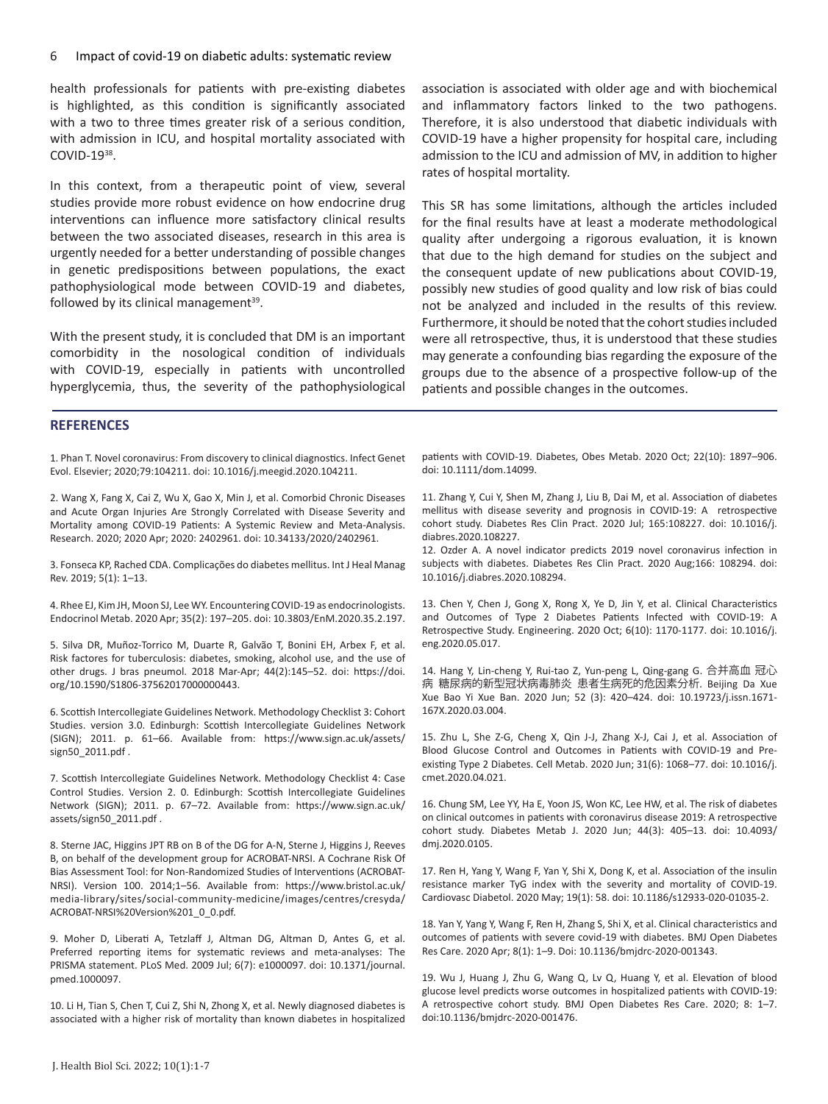health professionals for patients with pre-existing diabetes is highlighted, as this condition is significantly associated with a two to three times greater risk of a serious condition. with admission in ICU, and hospital mortality associated with COVID-19<sup>38</sup>.

In this context, from a therapeutic point of view, several studies provide more robust evidence on how endocrine drug interventions can influence more satisfactory clinical results between the two associated diseases, research in this area is urgently needed for a better understanding of possible changes in genetic predispositions between populations, the exact pathophysiological mode between COVID-19 and diabetes, followed by its clinical management $39$ .

With the present study, it is concluded that DM is an important comorbidity in the nosological condition of individuals with COVID-19, especially in patients with uncontrolled hyperglycemia, thus, the severity of the pathophysiological association is associated with older age and with biochemical and inflammatory factors linked to the two pathogens. Therefore, it is also understood that diabetic individuals with COVID-19 have a higher propensity for hospital care, including admission to the ICU and admission of MV, in addition to higher rates of hospital mortality.

This SR has some limitations, although the articles included for the final results have at least a moderate methodological quality after undergoing a rigorous evaluation, it is known that due to the high demand for studies on the subject and the consequent update of new publications about COVID-19, possibly new studies of good quality and low risk of bias could not be analyzed and included in the results of this review. Furthermore, it should be noted that the cohort studies included were all retrospective, thus, it is understood that these studies may generate a confounding bias regarding the exposure of the groups due to the absence of a prospective follow-up of the patients and possible changes in the outcomes.

#### **REFERENCES**

1. Phan T. Novel coronavirus: From discovery to clinical diagnostics. Infect Genet Evol. Elsevier; 2020;79:104211. doi: 10.1016/j.meegid.2020.104211.

2. Wang X, Fang X, Cai Z, Wu X, Gao X, Min J, et al. Comorbid Chronic Diseases and Acute Organ Injuries Are Strongly Correlated with Disease Severity and Mortality among COVID-19 Patients: A Systemic Review and Meta-Analysis. Research. 2020; 2020 Apr; 2020: 2402961. doi: 10.34133/2020/2402961.

3. Fonseca KP, Rached CDA. Complicações do diabetes mellitus. Int J Heal Manag Rev. 2019; 5(1): 1–13.

4. Rhee EJ, Kim JH, Moon SJ, Lee WY. Encountering COVID-19 as endocrinologists. Endocrinol Metab. 2020 Apr; 35(2): 197–205. doi: 10.3803/EnM.2020.35.2.197.

5. Silva DR, Muñoz-Torrico M, Duarte R, Galvão T, Bonini EH, Arbex F, et al. Risk factores for tuberculosis: diabetes, smoking, alcohol use, and the use of other drugs. J bras pneumol. 2018 Mar-Apr; 44(2):145–52. doi: https://doi. org/10.1590/S1806-37562017000000443.

6. Scottish Intercollegiate Guidelines Network. Methodology Checklist 3: Cohort Studies. version 3.0. Edinburgh: Scottish Intercollegiate Guidelines Network (SIGN); 2011. p. 61–66. Available from: https://www.sign.ac.uk/assets/ sign50\_2011.pdf .

7. Scottish Intercollegiate Guidelines Network. Methodology Checklist 4: Case Control Studies. Version 2. 0. Edinburgh: Scottish Intercollegiate Guidelines Network (SIGN); 2011. p. 67–72. Available from: https://www.sign.ac.uk/ assets/sign50\_2011.pdf .

8. Sterne JAC, Higgins JPT RB on B of the DG for A-N, Sterne J, Higgins J, Reeves B, on behalf of the development group for ACROBAT-NRSI. A Cochrane Risk Of Bias Assessment Tool: for Non-Randomized Studies of Interventions (ACROBAT-NRSI). Version 100. 2014;1–56. Available from: https://www.bristol.ac.uk/ media-library/sites/social-community-medicine/images/centres/cresyda/ ACROBAT-NRSI%20Version%201\_0\_0.pdf.

9. Moher D, Liberati A, Tetzlaff J, Altman DG, Altman D, Antes G, et al. Preferred reporting items for systematic reviews and meta-analyses: The PRISMA statement. PLoS Med. 2009 Jul; 6(7): e1000097. doi: 10.1371/journal. pmed.1000097.

10. Li H, Tian S, Chen T, Cui Z, Shi N, Zhong X, et al. Newly diagnosed diabetes is associated with a higher risk of mortality than known diabetes in hospitalized patients with COVID-19. Diabetes, Obes Metab. 2020 Oct; 22(10): 1897–906. doi: 10.1111/dom.14099.

11. Zhang Y, Cui Y, Shen M, Zhang J, Liu B, Dai M, et al. Association of diabetes mellitus with disease severity and prognosis in COVID-19: A retrospective cohort study. Diabetes Res Clin Pract. 2020 Jul; 165:108227. doi: 10.1016/j. diabres.2020.108227.

12. Ozder A. A novel indicator predicts 2019 novel coronavirus infection in subjects with diabetes. Diabetes Res Clin Pract. 2020 Aug;166: 108294. doi: 10.1016/j.diabres.2020.108294.

13. Chen Y, Chen J, Gong X, Rong X, Ye D, Jin Y, et al. Clinical Characteristics and Outcomes of Type 2 Diabetes Patients Infected with COVID-19: A Retrospective Study. Engineering. 2020 Oct; 6(10): 1170-1177. doi: 10.1016/j. eng.2020.05.017.

14. Hang Y, Lin-cheng Y, Rui-tao Z, Yun-peng L, Qing-gang G. 合并高血 冠心 病 糖尿病的新型冠状病毒肺炎 患者生病死的危因素分析. Beijing Da Xue Xue Bao Yi Xue Ban. 2020 Jun; 52 (3): 420–424. doi: 10.19723/j.issn.1671- 167X.2020.03.004.

15. Zhu L, She Z-G, Cheng X, Qin J-J, Zhang X-J, Cai J, et al. Association of Blood Glucose Control and Outcomes in Patients with COVID-19 and Preexisting Type 2 Diabetes. Cell Metab. 2020 Jun; 31(6): 1068–77. doi: 10.1016/j. cmet.2020.04.021.

16. Chung SM, Lee YY, Ha E, Yoon JS, Won KC, Lee HW, et al. The risk of diabetes on clinical outcomes in patients with coronavirus disease 2019: A retrospective cohort study. Diabetes Metab J. 2020 Jun; 44(3): 405–13. doi: 10.4093/ dmj.2020.0105.

17. Ren H, Yang Y, Wang F, Yan Y, Shi X, Dong K, et al. Association of the insulin resistance marker TyG index with the severity and mortality of COVID-19. Cardiovasc Diabetol. 2020 May; 19(1): 58. doi: 10.1186/s12933-020-01035-2.

18. Yan Y, Yang Y, Wang F, Ren H, Zhang S, Shi X, et al. Clinical characteristics and outcomes of patients with severe covid-19 with diabetes. BMJ Open Diabetes Res Care. 2020 Apr; 8(1): 1–9. Doi: 10.1136/bmjdrc-2020-001343.

19. Wu J, Huang J, Zhu G, Wang Q, Lv Q, Huang Y, et al. Elevation of blood glucose level predicts worse outcomes in hospitalized patients with COVID-19: A retrospective cohort study. BMJ Open Diabetes Res Care. 2020; 8: 1–7. doi:10.1136/bmjdrc-2020-001476.